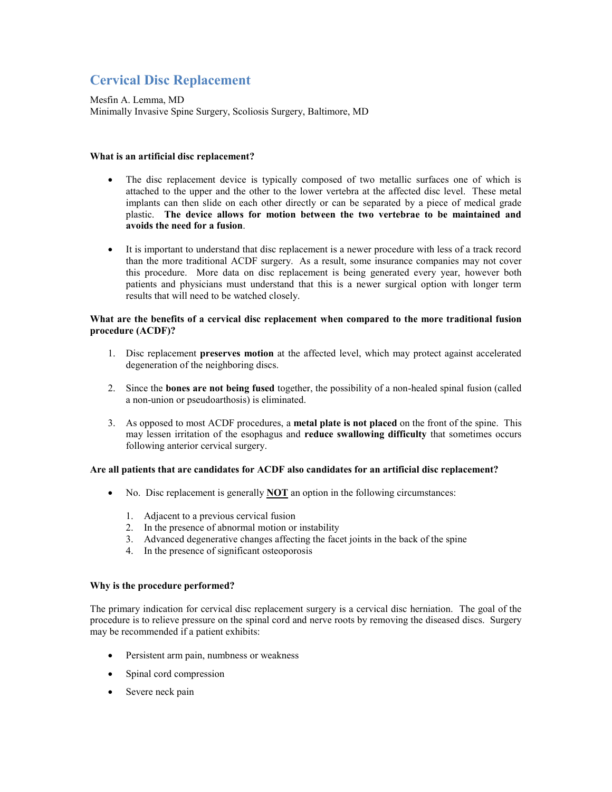# **Cervical Disc Replacement**

Mesfin A. Lemma, MD Minimally Invasive Spine Surgery, Scoliosis Surgery, Baltimore, MD

## **What is an artificial disc replacement?**

- The disc replacement device is typically composed of two metallic surfaces one of which is attached to the upper and the other to the lower vertebra at the affected disc level. These metal implants can then slide on each other directly or can be separated by a piece of medical grade plastic. **The device allows for motion between the two vertebrae to be maintained and avoids the need for a fusion**.
- It is important to understand that disc replacement is a newer procedure with less of a track record than the more traditional ACDF surgery. As a result, some insurance companies may not cover this procedure. More data on disc replacement is being generated every year, however both patients and physicians must understand that this is a newer surgical option with longer term results that will need to be watched closely.

## **What are the benefits of a cervical disc replacement when compared to the more traditional fusion procedure (ACDF)?**

- 1. Disc replacement **preserves motion** at the affected level, which may protect against accelerated degeneration of the neighboring discs.
- 2. Since the **bones are not being fused** together, the possibility of a non-healed spinal fusion (called a non-union or pseudoarthosis) is eliminated.
- 3. As opposed to most ACDF procedures, a **metal plate is not placed** on the front of the spine. This may lessen irritation of the esophagus and **reduce swallowing difficulty** that sometimes occurs following anterior cervical surgery.

# **Are all patients that are candidates for ACDF also candidates for an artificial disc replacement?**

- No. Disc replacement is generally **NOT** an option in the following circumstances:
	- 1. Adjacent to a previous cervical fusion
	- 2. In the presence of abnormal motion or instability
	- 3. Advanced degenerative changes affecting the facet joints in the back of the spine
	- 4. In the presence of significant osteoporosis

#### **Why is the procedure performed?**

The primary indication for cervical disc replacement surgery is a cervical disc herniation. The goal of the procedure is to relieve pressure on the spinal cord and nerve roots by removing the diseased discs. Surgery may be recommended if a patient exhibits:

- Persistent arm pain, numbness or weakness
- Spinal cord compression
- Severe neck pain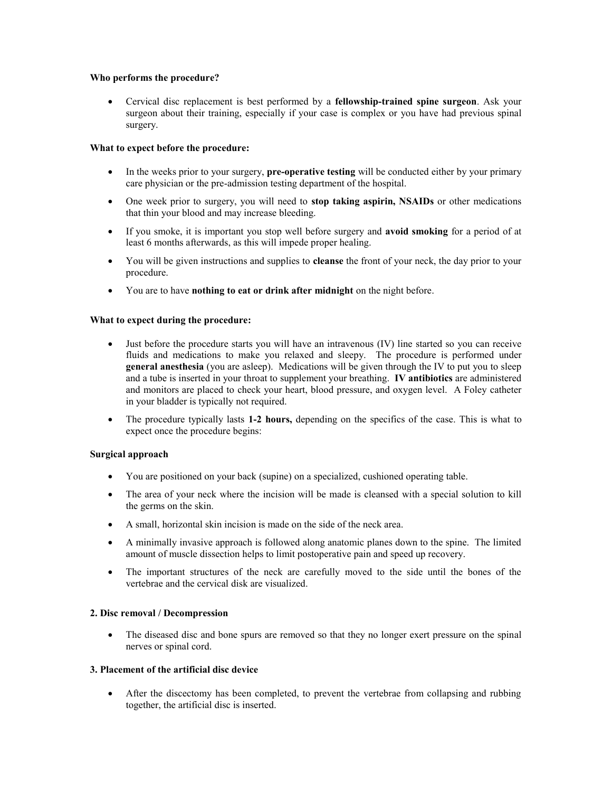#### **Who performs the procedure?**

 Cervical disc replacement is best performed by a **fellowship-trained spine surgeon**. Ask your surgeon about their training, especially if your case is complex or you have had previous spinal surgery.

## **What to expect before the procedure:**

- In the weeks prior to your surgery, **pre-operative testing** will be conducted either by your primary care physician or the pre-admission testing department of the hospital.
- One week prior to surgery, you will need to **stop taking aspirin, NSAIDs** or other medications that thin your blood and may increase bleeding.
- If you smoke, it is important you stop well before surgery and **avoid smoking** for a period of at least 6 months afterwards, as this will impede proper healing.
- You will be given instructions and supplies to **cleanse** the front of your neck, the day prior to your procedure.
- You are to have **nothing to eat or drink after midnight** on the night before.

## **What to expect during the procedure:**

- Just before the procedure starts you will have an intravenous (IV) line started so you can receive fluids and medications to make you relaxed and sleepy. The procedure is performed under **general anesthesia** (you are asleep). Medications will be given through the IV to put you to sleep and a tube is inserted in your throat to supplement your breathing. **IV antibiotics** are administered and monitors are placed to check your heart, blood pressure, and oxygen level. A Foley catheter in your bladder is typically not required.
- The procedure typically lasts **1-2 hours,** depending on the specifics of the case. This is what to expect once the procedure begins:

#### **Surgical approach**

- You are positioned on your back (supine) on a specialized, cushioned operating table.
- The area of your neck where the incision will be made is cleansed with a special solution to kill the germs on the skin.
- A small, horizontal skin incision is made on the side of the neck area.
- A minimally invasive approach is followed along anatomic planes down to the spine. The limited amount of muscle dissection helps to limit postoperative pain and speed up recovery.
- The important structures of the neck are carefully moved to the side until the bones of the vertebrae and the cervical disk are visualized.

#### **2. Disc removal / Decompression**

• The diseased disc and bone spurs are removed so that they no longer exert pressure on the spinal nerves or spinal cord.

#### **3. Placement of the artificial disc device**

 After the discectomy has been completed, to prevent the vertebrae from collapsing and rubbing together, the artificial disc is inserted.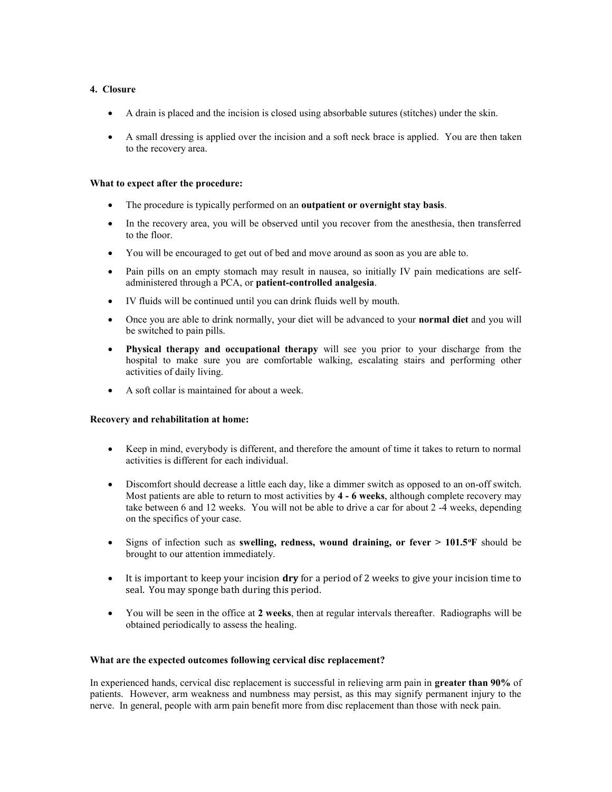# **4. Closure**

- A drain is placed and the incision is closed using absorbable sutures (stitches) under the skin.
- A small dressing is applied over the incision and a soft neck brace is applied. You are then taken to the recovery area.

## **What to expect after the procedure:**

- The procedure is typically performed on an **outpatient or overnight stay basis**.
- In the recovery area, you will be observed until you recover from the anesthesia, then transferred to the floor.
- You will be encouraged to get out of bed and move around as soon as you are able to.
- Pain pills on an empty stomach may result in nausea, so initially IV pain medications are selfadministered through a PCA, or **patient-controlled analgesia**.
- IV fluids will be continued until you can drink fluids well by mouth.
- Once you are able to drink normally, your diet will be advanced to your **normal diet** and you will be switched to pain pills.
- **Physical therapy and occupational therapy** will see you prior to your discharge from the hospital to make sure you are comfortable walking, escalating stairs and performing other activities of daily living.
- A soft collar is maintained for about a week.

# **Recovery and rehabilitation at home:**

- Keep in mind, everybody is different, and therefore the amount of time it takes to return to normal activities is different for each individual.
- Discomfort should decrease a little each day, like a dimmer switch as opposed to an on-off switch. Most patients are able to return to most activities by **4 - 6 weeks**, although complete recovery may take between 6 and 12 weeks. You will not be able to drive a car for about 2 -4 weeks, depending on the specifics of your case.
- Signs of infection such as **swelling, redness, wound draining, or fever > 101.5<sup>o</sup>F** should be brought to our attention immediately.
- It is important to keep your incision **dry** for a period of 2 weeks to give your incision time to seal. You may sponge bath during this period.
- You will be seen in the office at **2 weeks**, then at regular intervals thereafter. Radiographs will be obtained periodically to assess the healing.

# **What are the expected outcomes following cervical disc replacement?**

In experienced hands, cervical disc replacement is successful in relieving arm pain in **greater than 90%** of patients. However, arm weakness and numbness may persist, as this may signify permanent injury to the nerve. In general, people with arm pain benefit more from disc replacement than those with neck pain.